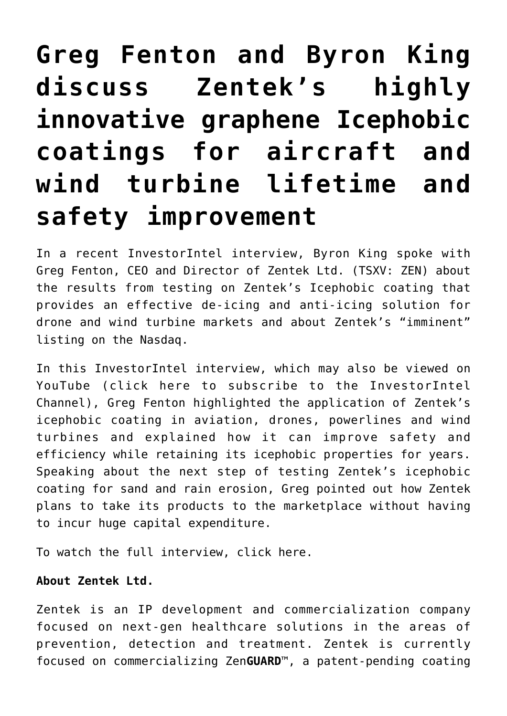## **[Greg Fenton and Byron King](https://investorintel.com/investorintel-video/greg-fenton-and-byron-king-discuss-zenteks-highly-innovative-graphene-icephobic-coatings-for-aircraft-and-wind-turbine-lifetime-and-safety-improvement/) [discuss Zentek's highly](https://investorintel.com/investorintel-video/greg-fenton-and-byron-king-discuss-zenteks-highly-innovative-graphene-icephobic-coatings-for-aircraft-and-wind-turbine-lifetime-and-safety-improvement/) [innovative graphene Icephobic](https://investorintel.com/investorintel-video/greg-fenton-and-byron-king-discuss-zenteks-highly-innovative-graphene-icephobic-coatings-for-aircraft-and-wind-turbine-lifetime-and-safety-improvement/) [coatings for aircraft and](https://investorintel.com/investorintel-video/greg-fenton-and-byron-king-discuss-zenteks-highly-innovative-graphene-icephobic-coatings-for-aircraft-and-wind-turbine-lifetime-and-safety-improvement/) [wind turbine lifetime and](https://investorintel.com/investorintel-video/greg-fenton-and-byron-king-discuss-zenteks-highly-innovative-graphene-icephobic-coatings-for-aircraft-and-wind-turbine-lifetime-and-safety-improvement/) [safety improvement](https://investorintel.com/investorintel-video/greg-fenton-and-byron-king-discuss-zenteks-highly-innovative-graphene-icephobic-coatings-for-aircraft-and-wind-turbine-lifetime-and-safety-improvement/)**

In a recent InvestorIntel interview, Byron King spoke with Greg Fenton, CEO and Director of [Zentek Ltd.](https://www.zentek.com/) (TSXV: ZEN) about [the results](https://investorintel.com/markets/biotech-healthcare/biotech-news/zentek-reports-on-icephobic-testing/) from testing on Zentek's [Icephobic](https://investorintel.com/markets/technology/technology-news/zentek-reports-on-icephobic-testing/) coating that provides an effective de-icing and anti-icing solution for drone and wind turbine markets and about Zentek's "imminent" [listing](https://investorintel.com/markets/biotech-healthcare/biotech-news/zentek-receives-approval-for-nasdaq-listing/) on the Nasdaq.

In this InvestorIntel interview, which may also be viewed on YouTube ([click here to subscribe to the InvestorIntel](https://www.youtube.com/channel/UCTAJpGxZWbiV9psQA5WATVg?view_as=subscriber) [Channel\)](https://www.youtube.com/channel/UCTAJpGxZWbiV9psQA5WATVg?view_as=subscriber), Greg Fenton highlighted the application of Zentek's icephobic coating in aviation, drones, powerlines and wind turbines and explained how it can improve safety and efficiency while retaining its icephobic properties for years. Speaking about the next step of testing Zentek's icephobic coating for sand and rain erosion, Greg pointed out how Zentek plans to take its products to the marketplace without having to incur huge capital expenditure.

To watch the full interview, [click here](https://youtu.be/YAm5oM7tLdg).

## **About Zentek Ltd.**

Zentek is an IP development and commercialization company focused on next-gen healthcare solutions in the areas of prevention, detection and treatment. Zentek is currently focused on commercializing Zen**GUARD**™, a patent-pending coating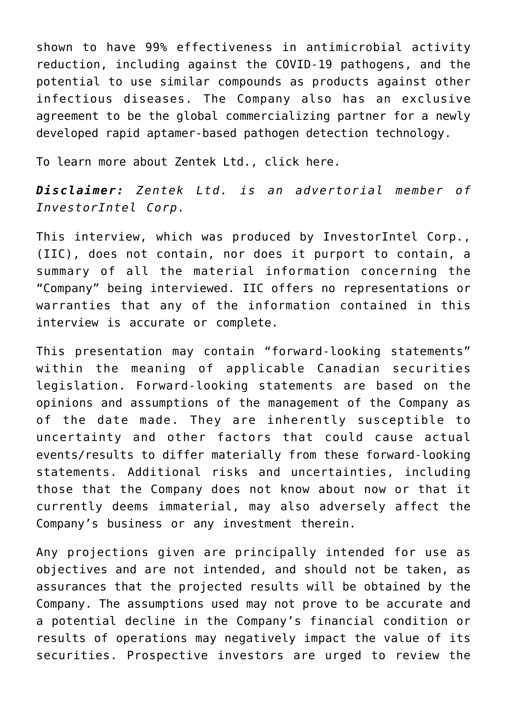shown to have 99% effectiveness in antimicrobial activity reduction, including against the COVID-19 pathogens, and the potential to use similar compounds as products against other infectious diseases. The Company also has an exclusive agreement to be the global commercializing partner for a newly developed rapid aptamer-based pathogen detection technology.

To learn more about Zentek Ltd., [click here.](https://www.zentek.com/)

*Disclaimer: Zentek Ltd. is an advertorial member of InvestorIntel Corp.*

This interview, which was produced by InvestorIntel Corp., (IIC), does not contain, nor does it purport to contain, a summary of all the material information concerning the "Company" being interviewed. IIC offers no representations or warranties that any of the information contained in this interview is accurate or complete.

This presentation may contain "forward-looking statements" within the meaning of applicable Canadian securities legislation. Forward-looking statements are based on the opinions and assumptions of the management of the Company as of the date made. They are inherently susceptible to uncertainty and other factors that could cause actual events/results to differ materially from these forward-looking statements. Additional risks and uncertainties, including those that the Company does not know about now or that it currently deems immaterial, may also adversely affect the Company's business or any investment therein.

Any projections given are principally intended for use as objectives and are not intended, and should not be taken, as assurances that the projected results will be obtained by the Company. The assumptions used may not prove to be accurate and a potential decline in the Company's financial condition or results of operations may negatively impact the value of its securities. Prospective investors are urged to review the